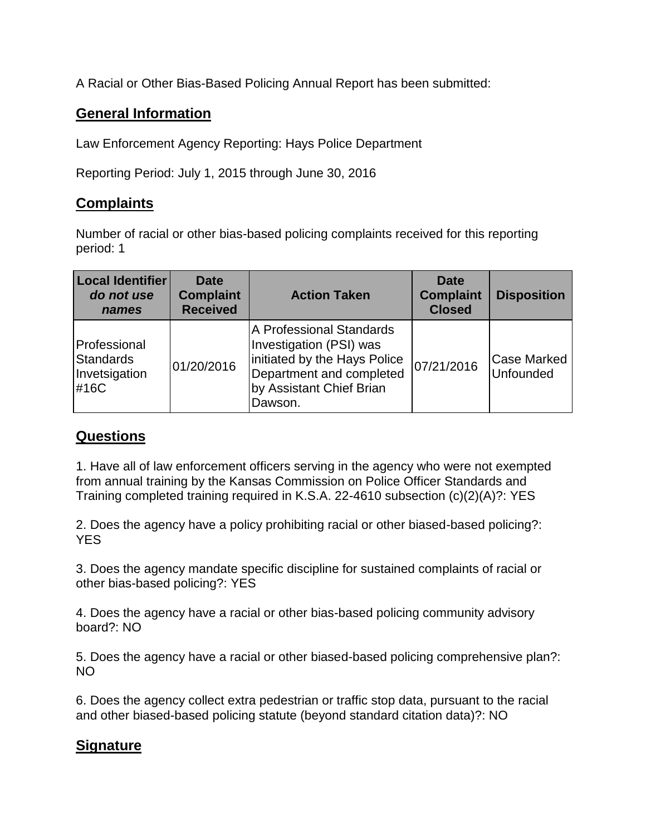A Racial or Other Bias-Based Policing Annual Report has been submitted:

## **General Information**

Law Enforcement Agency Reporting: Hays Police Department

Reporting Period: July 1, 2015 through June 30, 2016

## **Complaints**

Number of racial or other bias-based policing complaints received for this reporting period: 1

| <b>Local Identifier</b><br>do not use<br>names     | <b>Date</b><br><b>Complaint</b><br><b>Received</b> | <b>Action Taken</b>                                                                                                                                    | <b>Date</b><br><b>Complaint</b><br><b>Closed</b> | <b>Disposition</b>              |
|----------------------------------------------------|----------------------------------------------------|--------------------------------------------------------------------------------------------------------------------------------------------------------|--------------------------------------------------|---------------------------------|
| Professional<br>Standards<br>Invetsigation<br>#16C | 01/20/2016                                         | A Professional Standards<br>Investigation (PSI) was<br>initiated by the Hays Police<br>Department and completed<br>by Assistant Chief Brian<br>Dawson. | 07/21/2016                                       | <b>Case Marked</b><br>Unfounded |

## **Questions**

1. Have all of law enforcement officers serving in the agency who were not exempted from annual training by the Kansas Commission on Police Officer Standards and Training completed training required in K.S.A. 22-4610 subsection (c)(2)(A)?: YES

2. Does the agency have a policy prohibiting racial or other biased-based policing?: YES

3. Does the agency mandate specific discipline for sustained complaints of racial or other bias-based policing?: YES

4. Does the agency have a racial or other bias-based policing community advisory board?: NO

5. Does the agency have a racial or other biased-based policing comprehensive plan?: NO

6. Does the agency collect extra pedestrian or traffic stop data, pursuant to the racial and other biased-based policing statute (beyond standard citation data)?: NO

## **Signature**